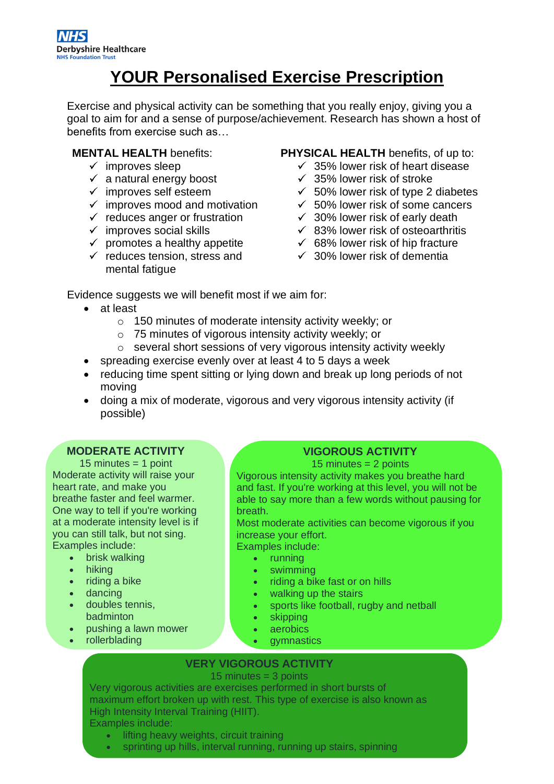## **YOUR Personalised Exercise Prescription**

Exercise and physical activity can be something that you really enjoy, giving you a goal to aim for and a sense of purpose/achievement. Research has shown a host of benefits from exercise such as…

### **MENTAL HEALTH** benefits:

- $\checkmark$  improves sleep
- $\checkmark$  a natural energy boost
- $\checkmark$  improves self esteem
- $\checkmark$  improves mood and motivation
- $\checkmark$  reduces anger or frustration
- $\checkmark$  improves social skills
- $\checkmark$  promotes a healthy appetite
- $\checkmark$  reduces tension, stress and mental fatigue

#### **PHYSICAL HEALTH** benefits, of up to:

- $\checkmark$  35% lower risk of heart disease
- $\checkmark$  35% lower risk of stroke
- $\times$  50% lower risk of type 2 diabetes
- $\times$  50% lower risk of some cancers
- $\checkmark$  30% lower risk of early death
- $\checkmark$  83% lower risk of osteoarthritis
- $\checkmark$  68% lower risk of hip fracture
- $\checkmark$  30% lower risk of dementia

Evidence suggests we will benefit most if we aim for:

- at least
	- o 150 minutes of moderate intensity activity weekly; or
	- o 75 minutes of vigorous intensity activity weekly; or
	- $\circ$  several short sessions of very vigorous intensity activity weekly
- spreading exercise evenly over at least 4 to 5 days a week
- reducing time spent sitting or Iving down and break up long periods of not moving
- doing a mix of moderate, vigorous and very vigorous intensity activity (if possible)

#### **MODERATE ACTIVITY**

15 minutes  $=$  1 point Moderate activity will raise your heart rate, and make you breathe faster and feel warmer. One way to tell if you're working at a moderate intensity level is if you can still talk, but not sing. Examples include:

- brisk walking
- hiking
- riding a bike
- dancing
- doubles tennis, badminton
- pushing a lawn mower
- rollerblading • water aerobics

## **VIGOROUS ACTIVITY**

15 minutes  $= 2$  points

Vigorous intensity activity makes you breathe hard and fast. If you're working at this level, you will not be able to say more than a few words without pausing for breath.

Most moderate activities can become vigorous if you increase your effort.

Examples include:

- running
- swimming
- riding a bike fast or on hills
- walking up the stairs
- sports like football, rugby and netball
- skipping
- **aerobics**
- gymnastics

#### • martial arts **VERY VIGOROUS ACTIVITY**

15 minutes = 3 points

Very vigorous activities are exercises performed in short bursts of maximum effort broken up with rest. This type of exercise is also known as High Intensity Interval Training (HIIT). Examples include:

- lifting heavy weights, circuit training
- sprinting up hills, interval running, running up stairs, spinning classes in the classes of the control of the control of the control of the control of the control of the control of the control of the control of the control of the control of the control of the control of the control of t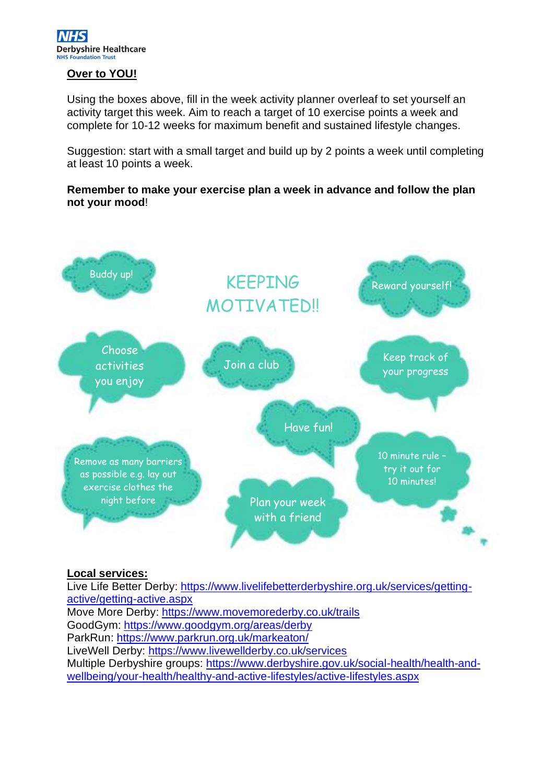#### **Over to YOU!**

Using the boxes above, fill in the week activity planner overleaf to set yourself an activity target this week. Aim to reach a target of 10 exercise points a week and complete for 10-12 weeks for maximum benefit and sustained lifestyle changes.

Suggestion: start with a small target and build up by 2 points a week until completing at least 10 points a week.

**Remember to make your exercise plan a week in advance and follow the plan not your mood**!



#### **Local services:**

Live Life Better Derby: [https://www.livelifebetterderbyshire.org.uk/services/getting](https://www.livelifebetterderbyshire.org.uk/services/getting-active/getting-active.aspx)[active/getting-active.aspx](https://www.livelifebetterderbyshire.org.uk/services/getting-active/getting-active.aspx) Move More Derby: <https://www.movemorederby.co.uk/trails> GoodGym:<https://www.goodgym.org/areas/derby> ParkRun: <https://www.parkrun.org.uk/markeaton/> LiveWell Derby:<https://www.livewellderby.co.uk/services> Multiple Derbyshire groups: [https://www.derbyshire.gov.uk/social-health/health-and](https://www.derbyshire.gov.uk/social-health/health-and-wellbeing/your-health/healthy-and-active-lifestyles/active-lifestyles.aspx)[wellbeing/your-health/healthy-and-active-lifestyles/active-lifestyles.aspx](https://www.derbyshire.gov.uk/social-health/health-and-wellbeing/your-health/healthy-and-active-lifestyles/active-lifestyles.aspx)